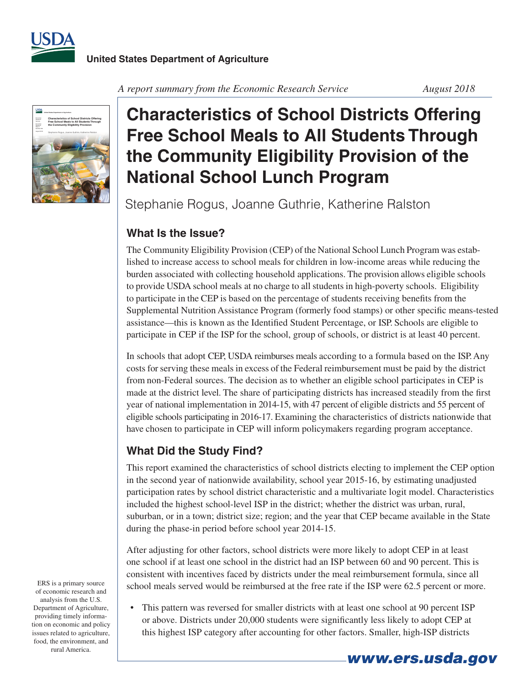



*A report summary from the Economic Research Service August 2018*

## **Characteristics of School Districts Offering Free School Meals to All Students Through the Community Eligibility Provision of the National School Lunch Program**

Stephanie Rogus, Joanne Guthrie, Katherine Ralston

## **What Is the Issue?**

The Community Eligibility Provision (CEP) of the National School Lunch Program was established to increase access to school meals for children in low-income areas while reducing the burden associated with collecting household applications. The provision allows eligible schools to provide USDA school meals at no charge to all students in high-poverty schools. Eligibility to participate in the CEP is based on the percentage of students receiving benefits from the Supplemental Nutrition Assistance Program (formerly food stamps) or other specific means-tested assistance—this is known as the Identified Student Percentage, or ISP. Schools are eligible to participate in CEP if the ISP for the school, group of schools, or district is at least 40 percent.

In schools that adopt CEP, USDA reimburses meals according to a formula based on the ISP. Any costs forserving these meals in excess of the Federal reimbursement must be paid by the district from non-Federal sources. The decision as to whether an eligible school participates in CEP is made at the district level. The share of participating districts has increased steadily from the first year of national implementation in 2014-15, with 47 percent of eligible districts and 55 percent of eligible schools participating in 2016-17. Examining the characteristics of districts nationwide that have chosen to participate in CEP will inform policymakers regarding program acceptance.

## **What Did the Study Find?**

This report examined the characteristics of school districts electing to implement the CEP option in the second year of nationwide availability, school year 2015-16, by estimating unadjusted participation rates by school district characteristic and a multivariate logit model. Characteristics included the highest school-level ISP in the district; whether the district was urban, rural, suburban, or in a town; district size; region; and the year that CEP became available in the State during the phase-in period before school year 2014-15.

After adjusting for other factors, school districts were more likely to adopt CEP in at least one school if at least one school in the district had an ISP between 60 and 90 percent. This is consistent with incentives faced by districts under the meal reimbursement formula, since all school meals served would be reimbursed at the free rate if the ISP were 62.5 percent or more.

• This pattern was reversed for smaller districts with at least one school at 90 percent ISP or above. Districts under 20,000 students were significantly less likely to adopt CEP at this highest ISP category after accounting for other factors. Smaller, high-ISP districts

ERS is a primary source of economic research and analysis from the U.S. Department of Agriculture, providing timely information on economic and policy issues related to agriculture, food, the environment, and rural America.